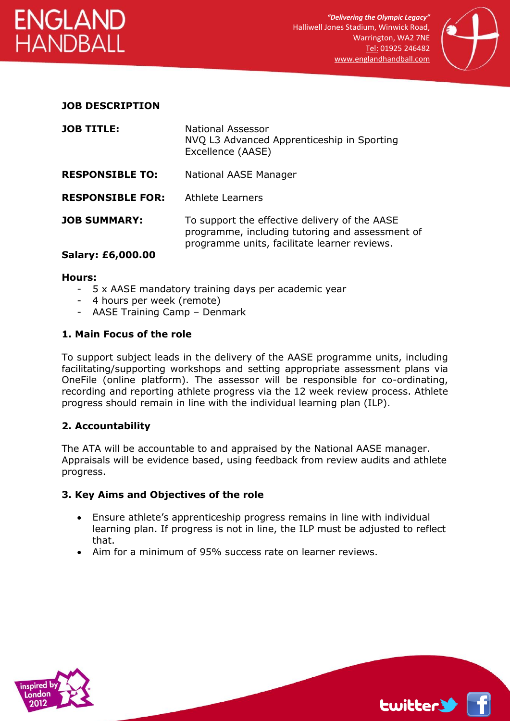



#### **JOB DESCRIPTION**

| <b>JOB TITLE:</b>        | National Assessor<br>NVQ L3 Advanced Apprenticeship in Sporting<br>Excellence (AASE)                                                             |
|--------------------------|--------------------------------------------------------------------------------------------------------------------------------------------------|
| <b>RESPONSIBLE TO:</b>   | National AASE Manager                                                                                                                            |
| <b>RESPONSIBLE FOR:</b>  | <b>Athlete Learners</b>                                                                                                                          |
| <b>JOB SUMMARY:</b>      | To support the effective delivery of the AASE<br>programme, including tutoring and assessment of<br>programme units, facilitate learner reviews. |
| <b>Salary: £6,000.00</b> |                                                                                                                                                  |

#### **Hours:**

- 5 x AASE mandatory training days per academic year
- 4 hours per week (remote)
- AASE Training Camp Denmark

#### **1. Main Focus of the role**

To support subject leads in the delivery of the AASE programme units, including facilitating/supporting workshops and setting appropriate assessment plans via OneFile (online platform). The assessor will be responsible for co-ordinating, recording and reporting athlete progress via the 12 week review process. Athlete progress should remain in line with the individual learning plan (ILP).

## **2. Accountability**

The ATA will be accountable to and appraised by the National AASE manager. Appraisals will be evidence based, using feedback from review audits and athlete progress.

#### **3. Key Aims and Objectives of the role**

- Ensure athlete's apprenticeship progress remains in line with individual learning plan. If progress is not in line, the ILP must be adjusted to reflect that.
- Aim for a minimum of 95% success rate on learner reviews.



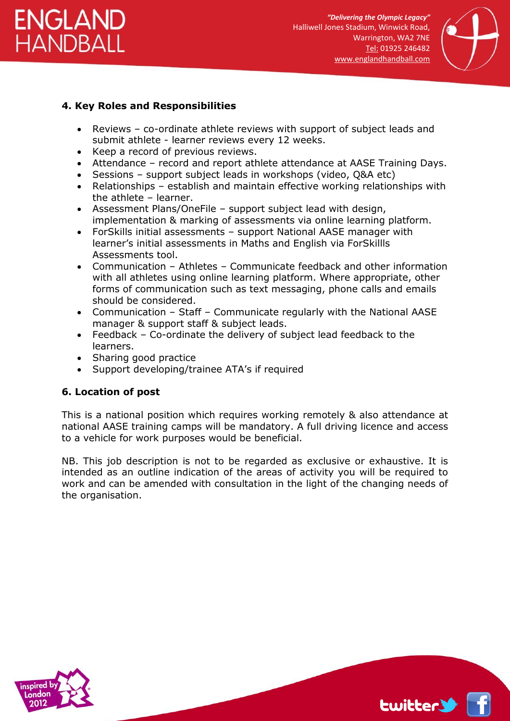



# **4. Key Roles and Responsibilities**

- Reviews co-ordinate athlete reviews with support of subject leads and submit athlete - learner reviews every 12 weeks.
- Keep a record of previous reviews.
- Attendance record and report athlete attendance at AASE Training Days.
- Sessions support subject leads in workshops (video, Q&A etc)
- Relationships establish and maintain effective working relationships with the athlete – learner.
- Assessment Plans/OneFile support subject lead with design, implementation & marking of assessments via online learning platform.
- ForSkills initial assessments support National AASE manager with learner's initial assessments in Maths and English via ForSkillls Assessments tool.
- Communication Athletes Communicate feedback and other information with all athletes using online learning platform. Where appropriate, other forms of communication such as text messaging, phone calls and emails should be considered.
- Communication Staff Communicate regularly with the National AASE manager & support staff & subject leads.
- Feedback Co-ordinate the delivery of subject lead feedback to the learners.
- Sharing good practice
- Support developing/trainee ATA's if required

## **6. Location of post**

This is a national position which requires working remotely & also attendance at national AASE training camps will be mandatory. A full driving licence and access to a vehicle for work purposes would be beneficial.

NB. This job description is not to be regarded as exclusive or exhaustive. It is intended as an outline indication of the areas of activity you will be required to work and can be amended with consultation in the light of the changing needs of the organisation.